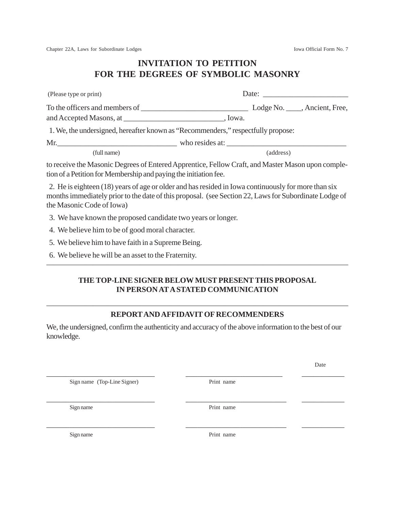Date

Chapter 22A, Laws for Subordinate Lodges Iowa Official Form No. 7

## **INVITATION TO PETITION FOR THE DEGREES OF SYMBOLIC MASONRY**

| (Please type or print)         | Date:                                                                                          |
|--------------------------------|------------------------------------------------------------------------------------------------|
| To the officers and members of | Lodge No. _____, Ancient, Free,                                                                |
|                                | . Iowa.                                                                                        |
|                                | 1. We, the undersigned, hereafter known as "Recommenders," respectfully propose:               |
|                                | Mr. Who resides at:                                                                            |
| (full name)                    | (address)                                                                                      |
|                                | to reggius the Mesonia Degrees of Entered Apprentise Fellow Croft and Mester Meson upon somple |

to receive the Masonic Degrees of Entered Apprentice, Fellow Craft, and Master Mason upon completion of a Petition for Membership and paying the initiation fee.

 2. He is eighteen (18) years of age or older and has resided in Iowa continuously for more than six months immediately prior to the date of this proposal. (see Section 22, Laws for Subordinate Lodge of the Masonic Code of Iowa)

3. We have known the proposed candidate two years or longer.

4. We believe him to be of good moral character.

5. We believe him to have faith in a Supreme Being.

6. We believe he will be an asset to the Fraternity.

## **THE TOP-LINE SIGNER BELOW MUST PRESENT THIS PROPOSAL IN PERSON AT A STATED COMMUNICATION**

———————————————————————————————————————

## ——————————————————————————————————————— **REPORT AND AFFIDAVIT OF RECOMMENDERS**

We, the undersigned, confirm the authenticity and accuracy of the above information to the best of our knowledge.

\_\_\_\_\_\_\_\_\_\_\_\_\_\_\_\_\_\_\_\_\_\_\_\_\_\_\_\_ \_\_\_\_\_\_\_\_\_\_\_\_\_\_\_\_\_\_\_\_\_\_\_\_\_ \_\_\_\_\_\_\_\_\_\_\_

\_\_\_\_\_\_\_\_\_\_\_\_\_\_\_\_\_\_\_\_\_\_\_\_\_\_\_\_ \_\_\_\_\_\_\_\_\_\_\_\_\_\_\_\_\_\_\_\_\_\_\_\_\_\_ \_\_\_\_\_\_\_\_\_\_\_

\_\_\_\_\_\_\_\_\_\_\_\_\_\_\_\_\_\_\_\_\_\_\_\_\_\_\_\_ \_\_\_\_\_\_\_\_\_\_\_\_\_\_\_\_\_\_\_\_\_\_\_\_\_\_ \_\_\_\_\_\_\_\_\_\_\_

Sign name (Top-Line Signer) Print name

Sign name Print name

Sign name Print name